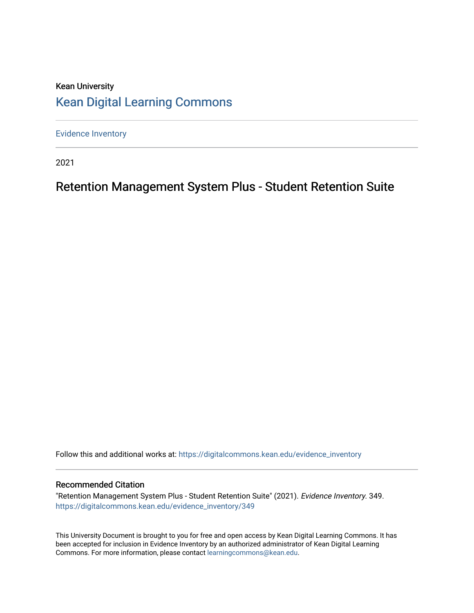# Kean University [Kean Digital Learning Commons](https://digitalcommons.kean.edu/)

[Evidence Inventory](https://digitalcommons.kean.edu/evidence_inventory) 

2021

# Retention Management System Plus - Student Retention Suite

Follow this and additional works at: [https://digitalcommons.kean.edu/evidence\\_inventory](https://digitalcommons.kean.edu/evidence_inventory?utm_source=digitalcommons.kean.edu%2Fevidence_inventory%2F349&utm_medium=PDF&utm_campaign=PDFCoverPages)

### Recommended Citation

"Retention Management System Plus - Student Retention Suite" (2021). Evidence Inventory. 349. [https://digitalcommons.kean.edu/evidence\\_inventory/349](https://digitalcommons.kean.edu/evidence_inventory/349?utm_source=digitalcommons.kean.edu%2Fevidence_inventory%2F349&utm_medium=PDF&utm_campaign=PDFCoverPages)

This University Document is brought to you for free and open access by Kean Digital Learning Commons. It has been accepted for inclusion in Evidence Inventory by an authorized administrator of Kean Digital Learning Commons. For more information, please contact [learningcommons@kean.edu.](mailto:learningcommons@kean.edu)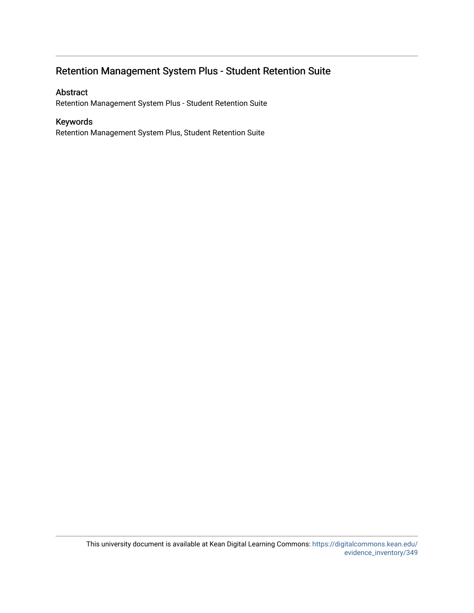# Retention Management System Plus - Student Retention Suite

### Abstract

Retention Management System Plus - Student Retention Suite

### Keywords

Retention Management System Plus, Student Retention Suite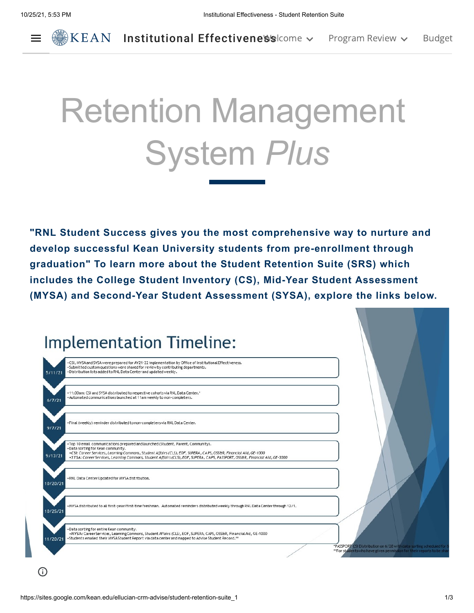$\equiv$ 



# Retention Management System *Plus*

**"RNL Student Success gives you the most comprehensive way to nurture and develop successful Kean University students from pre-enrollment through graduation" To learn more about the Student Retention Suite (SRS) which includes the College Student Inventory (CS), Mid-Year Student Assessment (MYSA) and Second-Year Student Assessment (SYSA), explore the links below.**

|          | <b>Implementation Timeline:</b>                                                                                                                                                                                                                                                                                                                                          |  |
|----------|--------------------------------------------------------------------------------------------------------------------------------------------------------------------------------------------------------------------------------------------------------------------------------------------------------------------------------------------------------------------------|--|
| 5/11/21  | .CSI, MYSA and SYSA were prepared for AY21-22 implementation by Office of Institutional Effectiveness,<br>. Submitted custom questions were shared for review by contributing departments.<br>. Distribution lists added to RNL Data Center and updated weekly,                                                                                                          |  |
| 6/7/21   | .11:00am: CSI and SYSA distributed to respective cohorts via RNL Data Center.*<br>+Automated communications launched at 11am weekly to non-completers.                                                                                                                                                                                                                   |  |
| 9/7/21   | . Final (weekly) reminder distributed to non-completers via RNL Data Center.                                                                                                                                                                                                                                                                                             |  |
| 9/13/21  | . Top 10 email communications prepared and launched (Student, Parent, Community).<br>·Data sorting for Kean community.<br>.CSI: Career Services, Learning Commons, Student Affairs (CLS), EOF, SUPERA, CAPS, OSS&R, Financial Aid, GE-1000<br>•SYSA: Career Services, Leaming Commons, Student Affairs (CLS), EOF, SUPERA, CAPS, PASSPORT, OSS&R, Financial Aid, GE-3000 |  |
| 10/20/21 | .RNL Data Center Updated for MYSA distribution.                                                                                                                                                                                                                                                                                                                          |  |
| 10/25/21 | +MYSAdistributed to all first-year/first-time freshman. Automated reminders distributed weekly through RNL Data Center through 12/1.                                                                                                                                                                                                                                     |  |
| 11/20/21 | . Data sorting for entire Kean community.<br>•MYSA: Career Services, Learning Commons, Student Affairs (CLS), EOF, SUPERA, CAPS, OSS&R, Financial Aid, GE-1000<br>*Students emailed their MYSAStudent Report via data center and mapped to Advise Student Record.**                                                                                                      |  |

 $\bigcirc$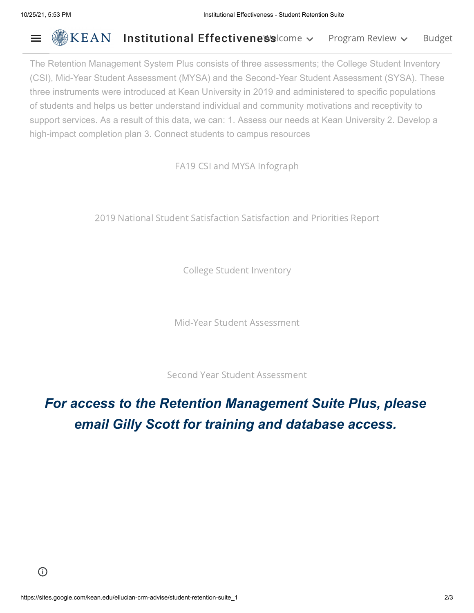#### Institutional Effectivene Schome v [Program](https://sites.google.com/kean.edu/ellucian-crm-advise/program-review?authuser=0) Review v [Budget](https://sites.google.com/kean.edu/ellucian-crm-advise/budget-request-form?authuser=0)  $\equiv$

The Retention Management System Plus consists of three assessments; the College Student Inventory (CSI), Mid-Year Student Assessment (MYSA) and the Second-Year Student Assessment (SYSA). These three instruments were introduced at Kean University in 2019 and administered to specific populations of students and helps us better understand individual and community motivations and receptivity to support services. As a result of this data, we can: 1. Assess our needs at Kean University 2. Develop a high-impact completion plan 3. Connect students to campus resources

FA19 CSI and MYSA [Infograph](https://drive.google.com/file/d/1gJBAi6FG2iqghkRWTvZBYnp_8IM6arGi/view?usp=sharing)

2019 National Student [Satisfaction](https://www.google.com/url?q=https%3A%2F%2Flearn.ruffalonl.com%2Frs%2F395-EOG-977%2Fimages%2F2019_National_Student_Satisfaction_Report_RNL-005.pdf&sa=D&sntz=1&usg=AFQjCNHZpZfUEm9Jwhdn7Ar7wT5UOFeciA) Satisfaction and Priorities Report

College Student [Inventory](https://www.google.com/url?q=https%3A%2F%2Fsites.google.com%2Fkean.edu%2Fellucian-crm-advise%2Fstudent-retention-suite_1%2Fcollege-student-inventory-csi&sa=D&sntz=1&usg=AFQjCNHYuBJ6w9GnKJIeOc9dInrK1jg8tw)

Mid-Year Student [Assessment](https://www.google.com/url?q=https%3A%2F%2Fsites.google.com%2Fkean.edu%2Fellucian-crm-advise%2Fstudent-retention-suite_1%2Fmid-year-student-assessment-mysa&sa=D&sntz=1&usg=AFQjCNEmgE9CGWlQijAmm1Y_P9V1OaCMHQ)

Second Year Student [Assessment](https://www.google.com/url?q=https%3A%2F%2Fsites.google.com%2Fkean.edu%2Fellucian-crm-advise%2Fstudent-retention-suite_1%2Fsecond-year-student-assessment-sysa&sa=D&sntz=1&usg=AFQjCNFGkEn-f85W4rF986jWx4LU-2bnew)

# *For access to the Retention Management Suite Plus, please email Gilly Scott for training and database access.*